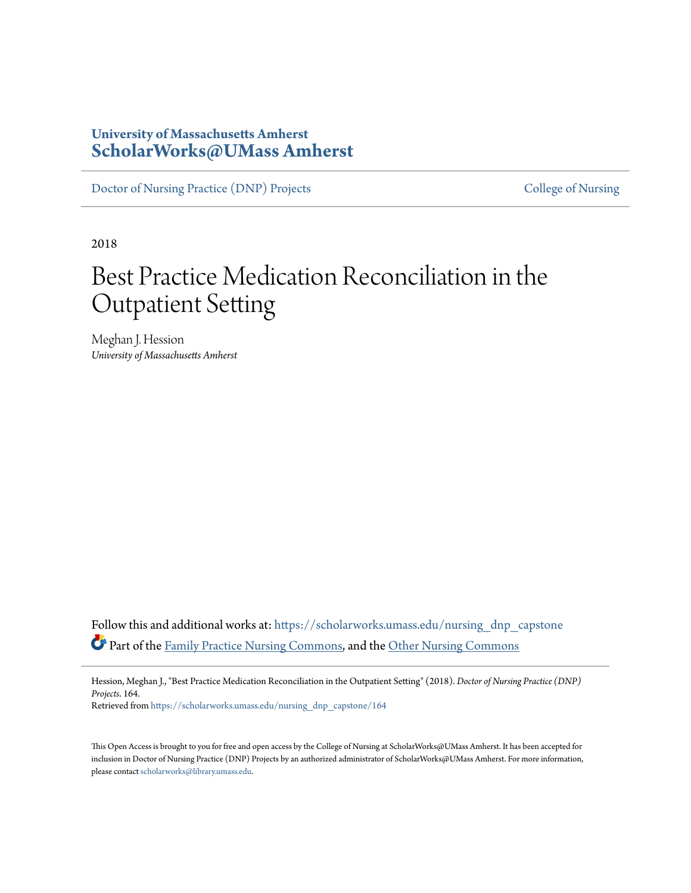# **University of Massachusetts Amherst [ScholarWorks@UMass Amherst](https://scholarworks.umass.edu?utm_source=scholarworks.umass.edu%2Fnursing_dnp_capstone%2F164&utm_medium=PDF&utm_campaign=PDFCoverPages)**

[Doctor of Nursing Practice \(DNP\) Projects](https://scholarworks.umass.edu/nursing_dnp_capstone?utm_source=scholarworks.umass.edu%2Fnursing_dnp_capstone%2F164&utm_medium=PDF&utm_campaign=PDFCoverPages) [College of Nursing](https://scholarworks.umass.edu/nursing?utm_source=scholarworks.umass.edu%2Fnursing_dnp_capstone%2F164&utm_medium=PDF&utm_campaign=PDFCoverPages)

2018

# Best Practice Medication Reconciliation in the Outpatient Setting

Meghan J. Hession *University of Massachusetts Amherst*

Follow this and additional works at: [https://scholarworks.umass.edu/nursing\\_dnp\\_capstone](https://scholarworks.umass.edu/nursing_dnp_capstone?utm_source=scholarworks.umass.edu%2Fnursing_dnp_capstone%2F164&utm_medium=PDF&utm_campaign=PDFCoverPages) Part of the [Family Practice Nursing Commons,](http://network.bepress.com/hgg/discipline/720?utm_source=scholarworks.umass.edu%2Fnursing_dnp_capstone%2F164&utm_medium=PDF&utm_campaign=PDFCoverPages) and the [Other Nursing Commons](http://network.bepress.com/hgg/discipline/729?utm_source=scholarworks.umass.edu%2Fnursing_dnp_capstone%2F164&utm_medium=PDF&utm_campaign=PDFCoverPages)

Hession, Meghan J., "Best Practice Medication Reconciliation in the Outpatient Setting" (2018). *Doctor of Nursing Practice (DNP) Projects*. 164.

Retrieved from [https://scholarworks.umass.edu/nursing\\_dnp\\_capstone/164](https://scholarworks.umass.edu/nursing_dnp_capstone/164?utm_source=scholarworks.umass.edu%2Fnursing_dnp_capstone%2F164&utm_medium=PDF&utm_campaign=PDFCoverPages)

This Open Access is brought to you for free and open access by the College of Nursing at ScholarWorks@UMass Amherst. It has been accepted for inclusion in Doctor of Nursing Practice (DNP) Projects by an authorized administrator of ScholarWorks@UMass Amherst. For more information, please contact [scholarworks@library.umass.edu.](mailto:scholarworks@library.umass.edu)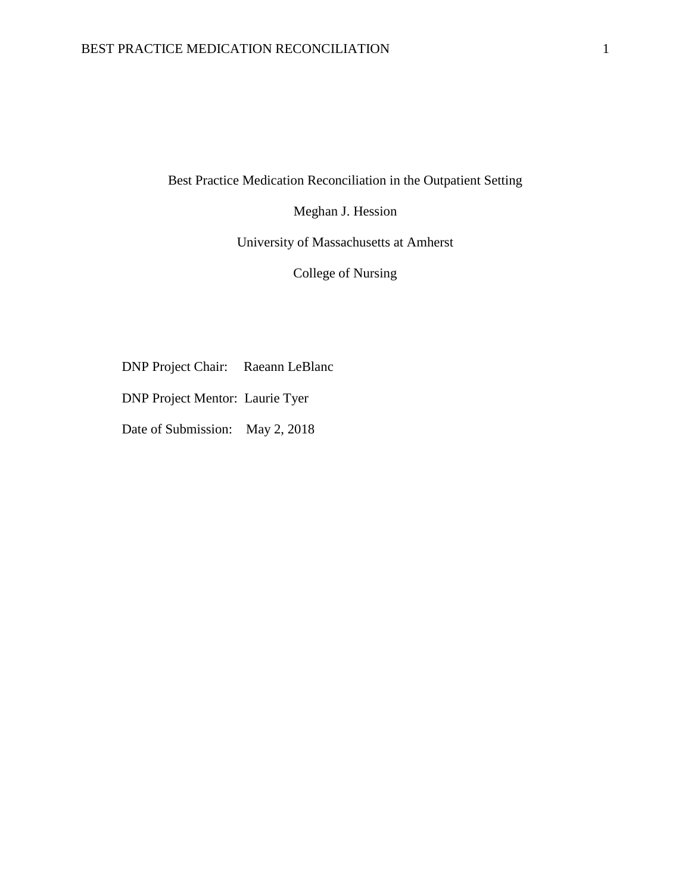Best Practice Medication Reconciliation in the Outpatient Setting

Meghan J. Hession

University of Massachusetts at Amherst

College of Nursing

DNP Project Chair: Raeann LeBlanc

DNP Project Mentor: Laurie Tyer

Date of Submission: May 2, 2018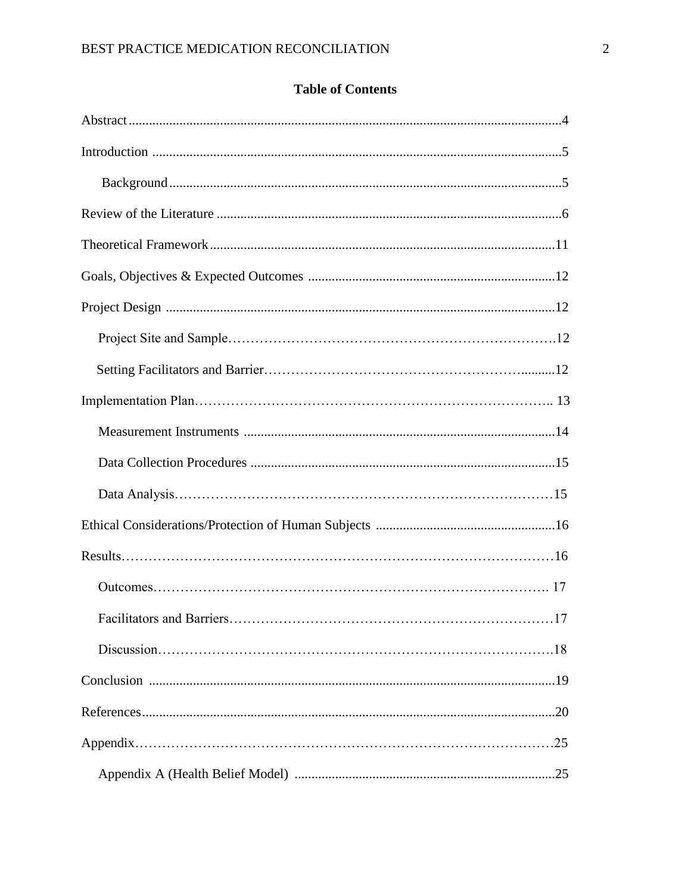# **Table of Contents**

| .17 |
|-----|
|     |
|     |
|     |
|     |
|     |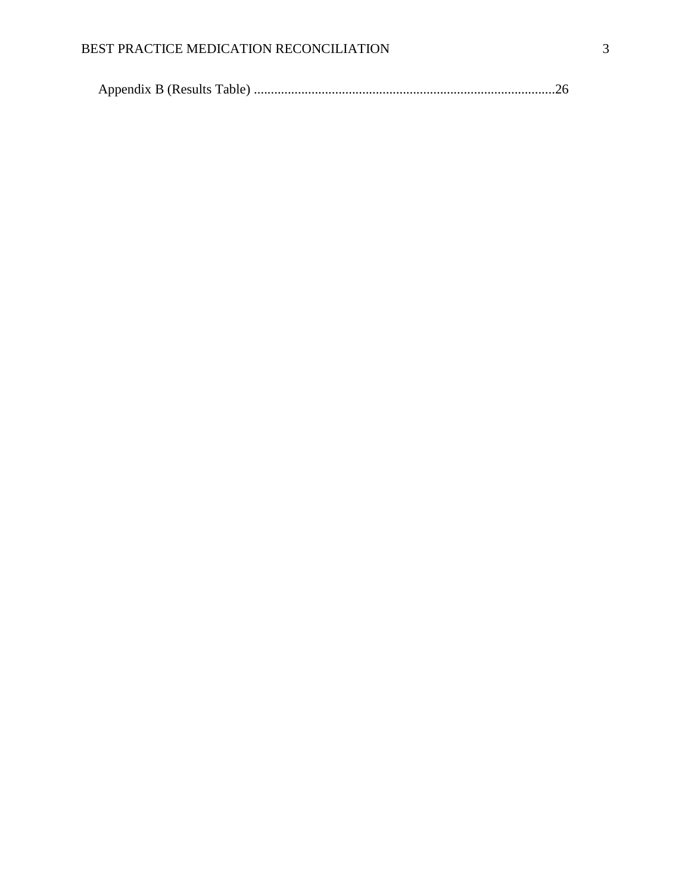## BEST PRACTICE MEDICATION RECONCILIATION 3

|--|--|--|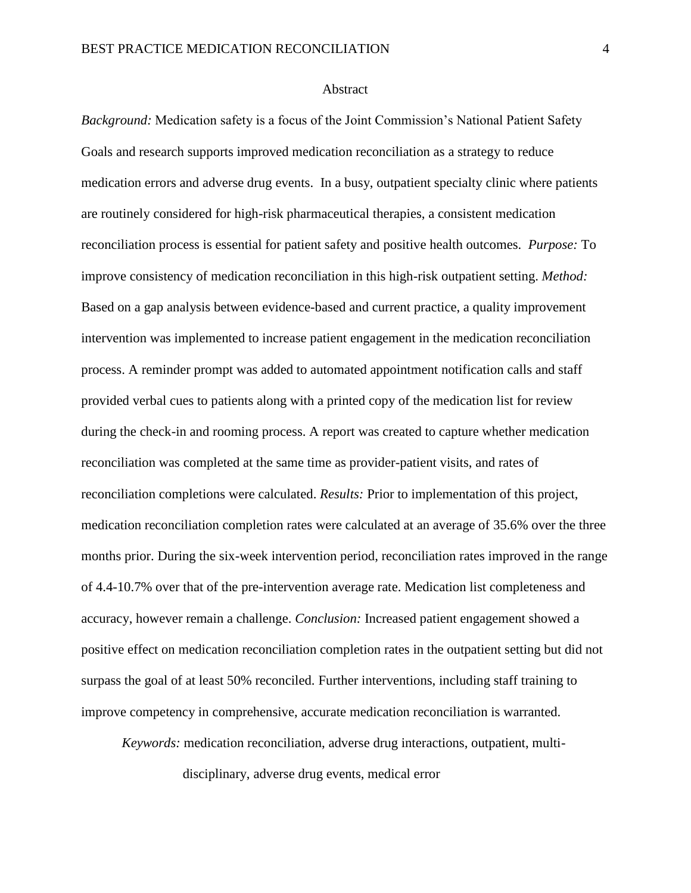## **Abstract**

*Background:* Medication safety is a focus of the Joint Commission's National Patient Safety Goals and research supports improved medication reconciliation as a strategy to reduce medication errors and adverse drug events. In a busy, outpatient specialty clinic where patients are routinely considered for high-risk pharmaceutical therapies, a consistent medication reconciliation process is essential for patient safety and positive health outcomes. *Purpose:* To improve consistency of medication reconciliation in this high-risk outpatient setting. *Method:* Based on a gap analysis between evidence-based and current practice, a quality improvement intervention was implemented to increase patient engagement in the medication reconciliation process. A reminder prompt was added to automated appointment notification calls and staff provided verbal cues to patients along with a printed copy of the medication list for review during the check-in and rooming process. A report was created to capture whether medication reconciliation was completed at the same time as provider-patient visits, and rates of reconciliation completions were calculated. *Results:* Prior to implementation of this project, medication reconciliation completion rates were calculated at an average of 35.6% over the three months prior. During the six-week intervention period, reconciliation rates improved in the range of 4.4-10.7% over that of the pre-intervention average rate. Medication list completeness and accuracy, however remain a challenge. *Conclusion:* Increased patient engagement showed a positive effect on medication reconciliation completion rates in the outpatient setting but did not surpass the goal of at least 50% reconciled. Further interventions, including staff training to improve competency in comprehensive, accurate medication reconciliation is warranted.

*Keywords:* medication reconciliation, adverse drug interactions, outpatient, multidisciplinary, adverse drug events, medical error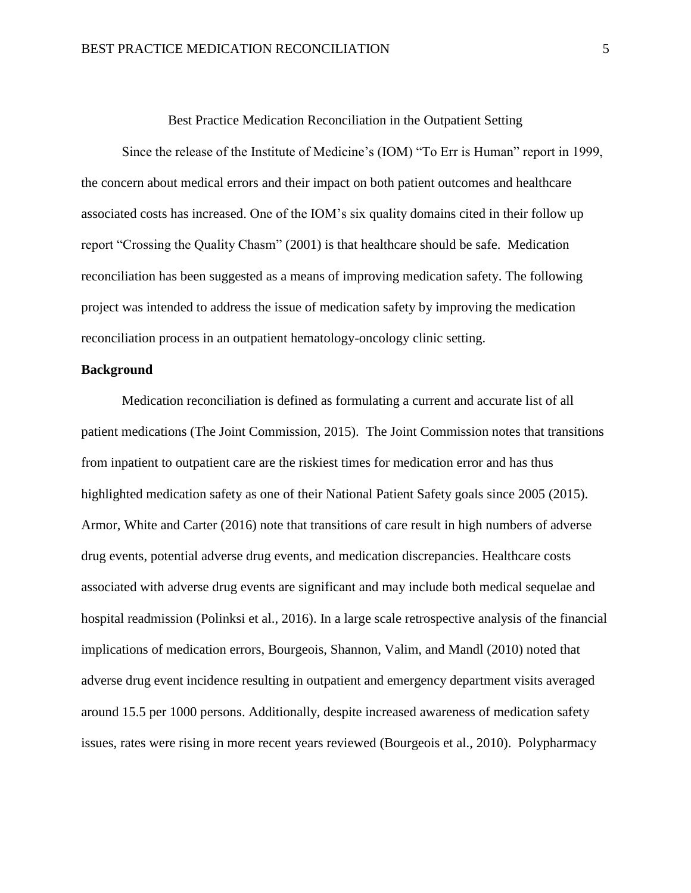Best Practice Medication Reconciliation in the Outpatient Setting

Since the release of the Institute of Medicine's (IOM) "To Err is Human" report in 1999, the concern about medical errors and their impact on both patient outcomes and healthcare associated costs has increased. One of the IOM's six quality domains cited in their follow up report "Crossing the Quality Chasm" (2001) is that healthcare should be safe. Medication reconciliation has been suggested as a means of improving medication safety. The following project was intended to address the issue of medication safety by improving the medication reconciliation process in an outpatient hematology-oncology clinic setting.

## **Background**

Medication reconciliation is defined as formulating a current and accurate list of all patient medications (The Joint Commission, 2015). The Joint Commission notes that transitions from inpatient to outpatient care are the riskiest times for medication error and has thus highlighted medication safety as one of their National Patient Safety goals since 2005 (2015). Armor, White and Carter (2016) note that transitions of care result in high numbers of adverse drug events, potential adverse drug events, and medication discrepancies. Healthcare costs associated with adverse drug events are significant and may include both medical sequelae and hospital readmission (Polinksi et al., 2016). In a large scale retrospective analysis of the financial implications of medication errors, Bourgeois, Shannon, Valim, and Mandl (2010) noted that adverse drug event incidence resulting in outpatient and emergency department visits averaged around 15.5 per 1000 persons. Additionally, despite increased awareness of medication safety issues, rates were rising in more recent years reviewed (Bourgeois et al., 2010). Polypharmacy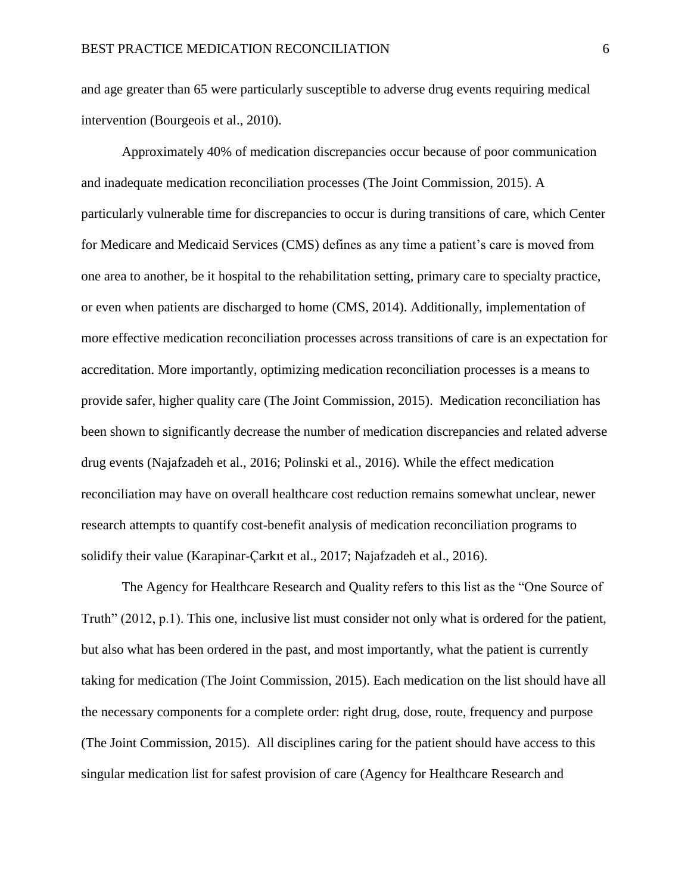and age greater than 65 were particularly susceptible to adverse drug events requiring medical intervention (Bourgeois et al., 2010).

Approximately 40% of medication discrepancies occur because of poor communication and inadequate medication reconciliation processes (The Joint Commission, 2015). A particularly vulnerable time for discrepancies to occur is during transitions of care, which Center for Medicare and Medicaid Services (CMS) defines as any time a patient's care is moved from one area to another, be it hospital to the rehabilitation setting, primary care to specialty practice, or even when patients are discharged to home (CMS, 2014). Additionally, implementation of more effective medication reconciliation processes across transitions of care is an expectation for accreditation. More importantly, optimizing medication reconciliation processes is a means to provide safer, higher quality care (The Joint Commission, 2015). Medication reconciliation has been shown to significantly decrease the number of medication discrepancies and related adverse drug events (Najafzadeh et al., 2016; Polinski et al., 2016). While the effect medication reconciliation may have on overall healthcare cost reduction remains somewhat unclear, newer research attempts to quantify cost-benefit analysis of medication reconciliation programs to solidify their value (Karapinar-Çarkıt et al., 2017; Najafzadeh et al., 2016).

The Agency for Healthcare Research and Quality refers to this list as the "One Source of Truth" (2012, p.1). This one, inclusive list must consider not only what is ordered for the patient, but also what has been ordered in the past, and most importantly, what the patient is currently taking for medication (The Joint Commission, 2015). Each medication on the list should have all the necessary components for a complete order: right drug, dose, route, frequency and purpose (The Joint Commission, 2015). All disciplines caring for the patient should have access to this singular medication list for safest provision of care (Agency for Healthcare Research and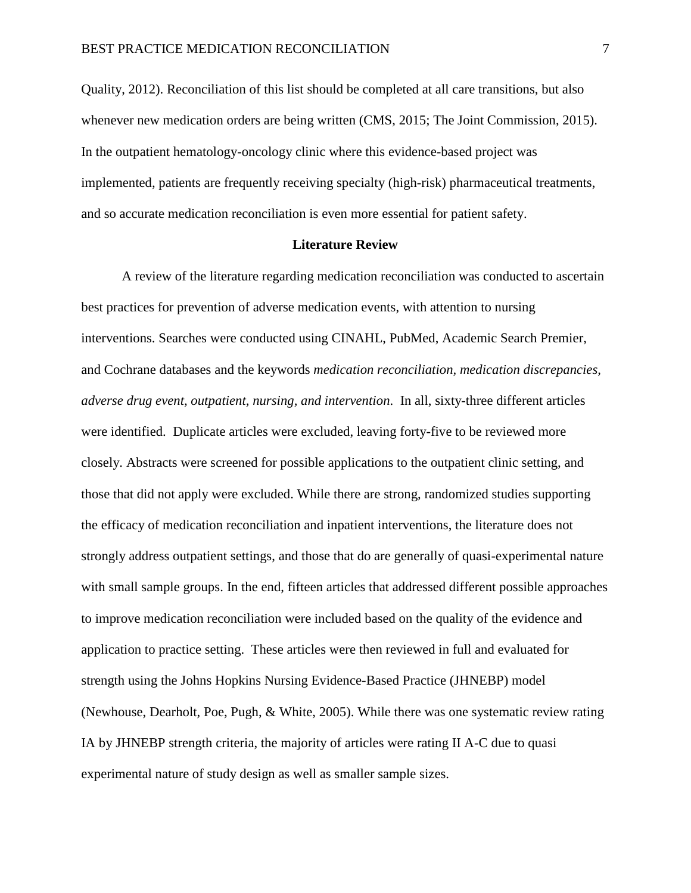Quality, 2012). Reconciliation of this list should be completed at all care transitions, but also whenever new medication orders are being written (CMS, 2015; The Joint Commission, 2015). In the outpatient hematology-oncology clinic where this evidence-based project was implemented, patients are frequently receiving specialty (high-risk) pharmaceutical treatments, and so accurate medication reconciliation is even more essential for patient safety.

#### **Literature Review**

A review of the literature regarding medication reconciliation was conducted to ascertain best practices for prevention of adverse medication events, with attention to nursing interventions. Searches were conducted using CINAHL, PubMed, Academic Search Premier, and Cochrane databases and the keywords *medication reconciliation, medication discrepancies, adverse drug event, outpatient, nursing, and intervention*. In all, sixty-three different articles were identified. Duplicate articles were excluded, leaving forty-five to be reviewed more closely. Abstracts were screened for possible applications to the outpatient clinic setting, and those that did not apply were excluded. While there are strong, randomized studies supporting the efficacy of medication reconciliation and inpatient interventions, the literature does not strongly address outpatient settings, and those that do are generally of quasi-experimental nature with small sample groups. In the end, fifteen articles that addressed different possible approaches to improve medication reconciliation were included based on the quality of the evidence and application to practice setting. These articles were then reviewed in full and evaluated for strength using the Johns Hopkins Nursing Evidence-Based Practice (JHNEBP) model (Newhouse, Dearholt, Poe, Pugh, & White, 2005). While there was one systematic review rating IA by JHNEBP strength criteria, the majority of articles were rating II A-C due to quasi experimental nature of study design as well as smaller sample sizes.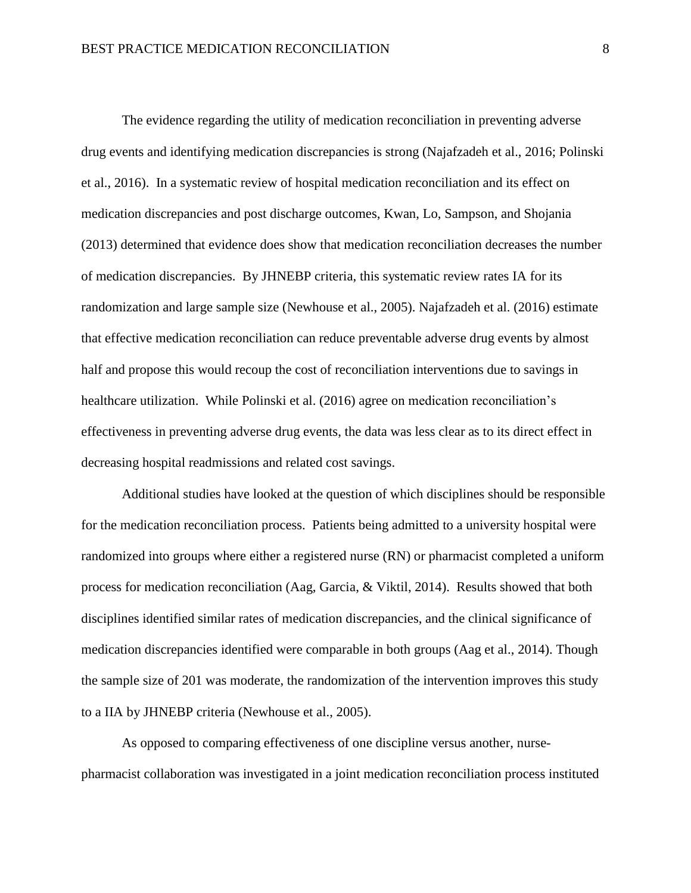The evidence regarding the utility of medication reconciliation in preventing adverse drug events and identifying medication discrepancies is strong (Najafzadeh et al., 2016; Polinski et al., 2016). In a systematic review of hospital medication reconciliation and its effect on medication discrepancies and post discharge outcomes, Kwan, Lo, Sampson, and Shojania (2013) determined that evidence does show that medication reconciliation decreases the number of medication discrepancies. By JHNEBP criteria, this systematic review rates IA for its randomization and large sample size (Newhouse et al., 2005). Najafzadeh et al. (2016) estimate that effective medication reconciliation can reduce preventable adverse drug events by almost half and propose this would recoup the cost of reconciliation interventions due to savings in healthcare utilization. While Polinski et al. (2016) agree on medication reconciliation's effectiveness in preventing adverse drug events, the data was less clear as to its direct effect in decreasing hospital readmissions and related cost savings.

Additional studies have looked at the question of which disciplines should be responsible for the medication reconciliation process. Patients being admitted to a university hospital were randomized into groups where either a registered nurse (RN) or pharmacist completed a uniform process for medication reconciliation (Aag, Garcia, & Viktil, 2014). Results showed that both disciplines identified similar rates of medication discrepancies, and the clinical significance of medication discrepancies identified were comparable in both groups (Aag et al., 2014). Though the sample size of 201 was moderate, the randomization of the intervention improves this study to a IIA by JHNEBP criteria (Newhouse et al., 2005).

As opposed to comparing effectiveness of one discipline versus another, nursepharmacist collaboration was investigated in a joint medication reconciliation process instituted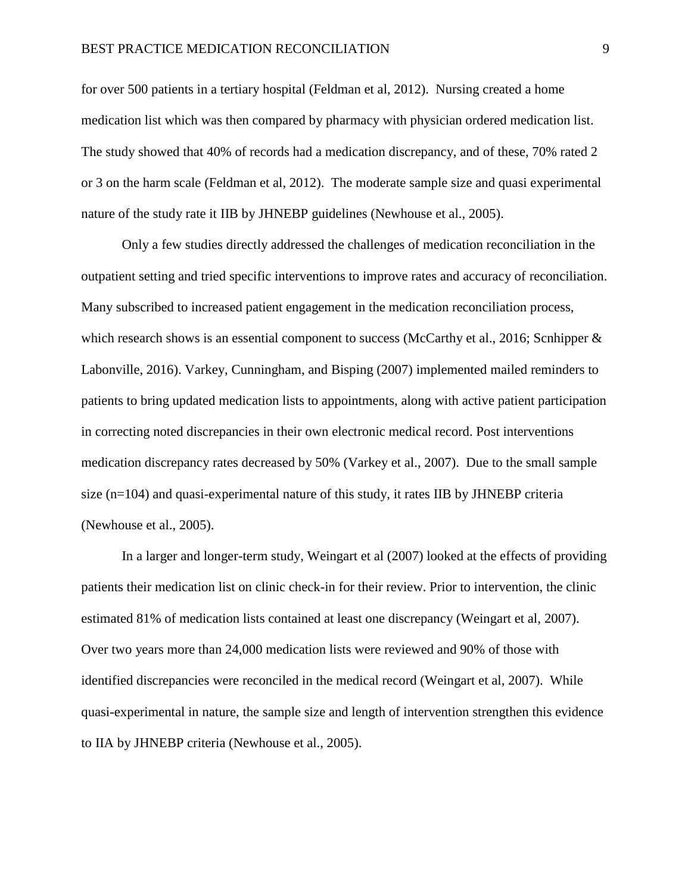for over 500 patients in a tertiary hospital (Feldman et al, 2012). Nursing created a home medication list which was then compared by pharmacy with physician ordered medication list. The study showed that 40% of records had a medication discrepancy, and of these, 70% rated 2 or 3 on the harm scale (Feldman et al, 2012). The moderate sample size and quasi experimental nature of the study rate it IIB by JHNEBP guidelines (Newhouse et al., 2005).

Only a few studies directly addressed the challenges of medication reconciliation in the outpatient setting and tried specific interventions to improve rates and accuracy of reconciliation. Many subscribed to increased patient engagement in the medication reconciliation process, which research shows is an essential component to success (McCarthy et al., 2016; Scnhipper & Labonville, 2016). Varkey, Cunningham, and Bisping (2007) implemented mailed reminders to patients to bring updated medication lists to appointments, along with active patient participation in correcting noted discrepancies in their own electronic medical record. Post interventions medication discrepancy rates decreased by 50% (Varkey et al., 2007). Due to the small sample size (n=104) and quasi-experimental nature of this study, it rates IIB by JHNEBP criteria (Newhouse et al., 2005).

In a larger and longer-term study, Weingart et al (2007) looked at the effects of providing patients their medication list on clinic check-in for their review. Prior to intervention, the clinic estimated 81% of medication lists contained at least one discrepancy (Weingart et al, 2007). Over two years more than 24,000 medication lists were reviewed and 90% of those with identified discrepancies were reconciled in the medical record (Weingart et al, 2007). While quasi-experimental in nature, the sample size and length of intervention strengthen this evidence to IIA by JHNEBP criteria (Newhouse et al., 2005).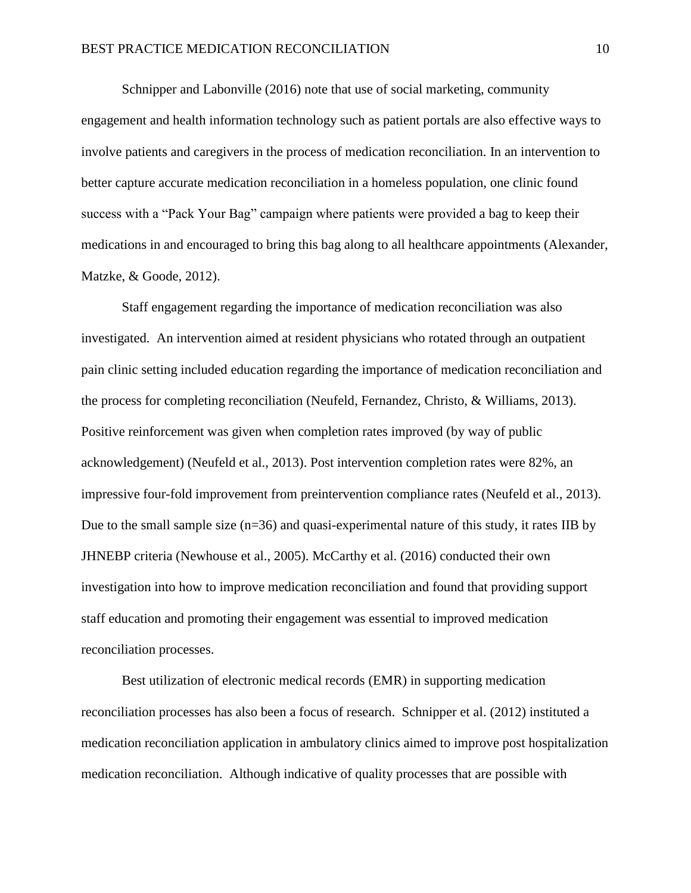Schnipper and Labonville (2016) note that use of social marketing, community engagement and health information technology such as patient portals are also effective ways to involve patients and caregivers in the process of medication reconciliation. In an intervention to better capture accurate medication reconciliation in a homeless population, one clinic found success with a "Pack Your Bag" campaign where patients were provided a bag to keep their medications in and encouraged to bring this bag along to all healthcare appointments (Alexander, Matzke, & Goode, 2012).

Staff engagement regarding the importance of medication reconciliation was also investigated. An intervention aimed at resident physicians who rotated through an outpatient pain clinic setting included education regarding the importance of medication reconciliation and the process for completing reconciliation (Neufeld, Fernandez, Christo, & Williams, 2013). Positive reinforcement was given when completion rates improved (by way of public acknowledgement) (Neufeld et al., 2013). Post intervention completion rates were 82%, an impressive four-fold improvement from preintervention compliance rates (Neufeld et al., 2013). Due to the small sample size (n=36) and quasi-experimental nature of this study, it rates IIB by JHNEBP criteria (Newhouse et al., 2005). McCarthy et al. (2016) conducted their own investigation into how to improve medication reconciliation and found that providing support staff education and promoting their engagement was essential to improved medication reconciliation processes.

Best utilization of electronic medical records (EMR) in supporting medication reconciliation processes has also been a focus of research. Schnipper et al. (2012) instituted a medication reconciliation application in ambulatory clinics aimed to improve post hospitalization medication reconciliation. Although indicative of quality processes that are possible with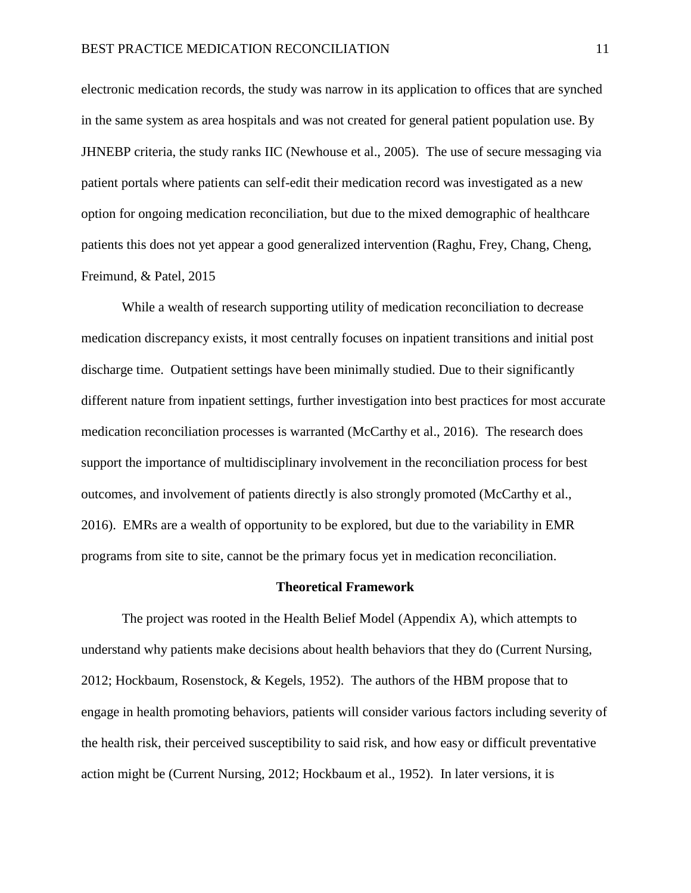electronic medication records, the study was narrow in its application to offices that are synched in the same system as area hospitals and was not created for general patient population use. By JHNEBP criteria, the study ranks IIC (Newhouse et al., 2005). The use of secure messaging via patient portals where patients can self-edit their medication record was investigated as a new option for ongoing medication reconciliation, but due to the mixed demographic of healthcare patients this does not yet appear a good generalized intervention (Raghu, Frey, Chang, Cheng, Freimund, & Patel, 2015

While a wealth of research supporting utility of medication reconciliation to decrease medication discrepancy exists, it most centrally focuses on inpatient transitions and initial post discharge time. Outpatient settings have been minimally studied. Due to their significantly different nature from inpatient settings, further investigation into best practices for most accurate medication reconciliation processes is warranted (McCarthy et al., 2016). The research does support the importance of multidisciplinary involvement in the reconciliation process for best outcomes, and involvement of patients directly is also strongly promoted (McCarthy et al., 2016). EMRs are a wealth of opportunity to be explored, but due to the variability in EMR programs from site to site, cannot be the primary focus yet in medication reconciliation.

#### **Theoretical Framework**

The project was rooted in the Health Belief Model (Appendix A), which attempts to understand why patients make decisions about health behaviors that they do (Current Nursing, 2012; Hockbaum, Rosenstock, & Kegels, 1952). The authors of the HBM propose that to engage in health promoting behaviors, patients will consider various factors including severity of the health risk, their perceived susceptibility to said risk, and how easy or difficult preventative action might be (Current Nursing, 2012; Hockbaum et al., 1952). In later versions, it is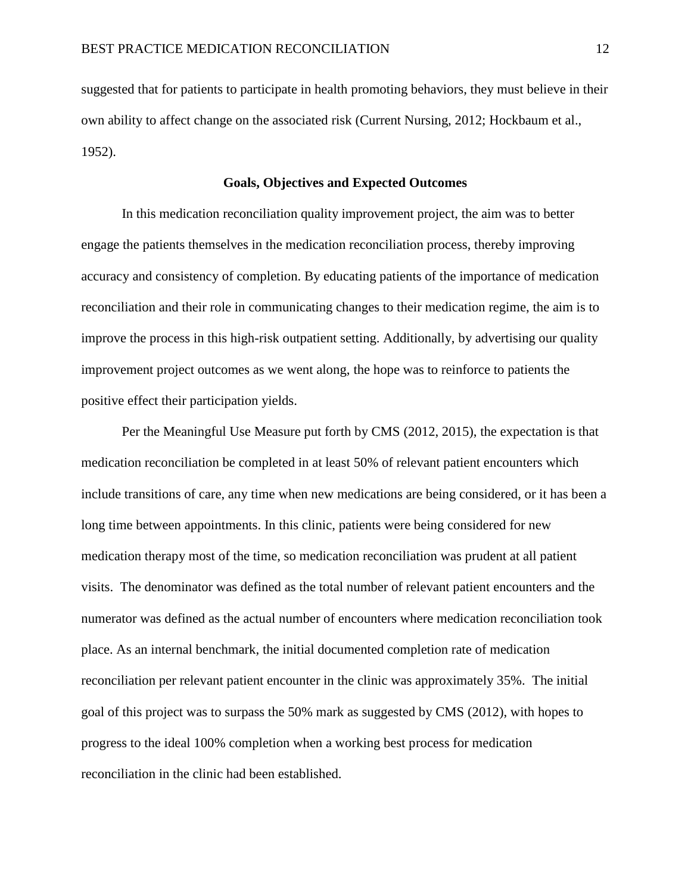suggested that for patients to participate in health promoting behaviors, they must believe in their own ability to affect change on the associated risk (Current Nursing, 2012; Hockbaum et al., 1952).

## **Goals, Objectives and Expected Outcomes**

In this medication reconciliation quality improvement project, the aim was to better engage the patients themselves in the medication reconciliation process, thereby improving accuracy and consistency of completion. By educating patients of the importance of medication reconciliation and their role in communicating changes to their medication regime, the aim is to improve the process in this high-risk outpatient setting. Additionally, by advertising our quality improvement project outcomes as we went along, the hope was to reinforce to patients the positive effect their participation yields.

Per the Meaningful Use Measure put forth by CMS (2012, 2015), the expectation is that medication reconciliation be completed in at least 50% of relevant patient encounters which include transitions of care, any time when new medications are being considered, or it has been a long time between appointments. In this clinic, patients were being considered for new medication therapy most of the time, so medication reconciliation was prudent at all patient visits. The denominator was defined as the total number of relevant patient encounters and the numerator was defined as the actual number of encounters where medication reconciliation took place. As an internal benchmark, the initial documented completion rate of medication reconciliation per relevant patient encounter in the clinic was approximately 35%. The initial goal of this project was to surpass the 50% mark as suggested by CMS (2012), with hopes to progress to the ideal 100% completion when a working best process for medication reconciliation in the clinic had been established.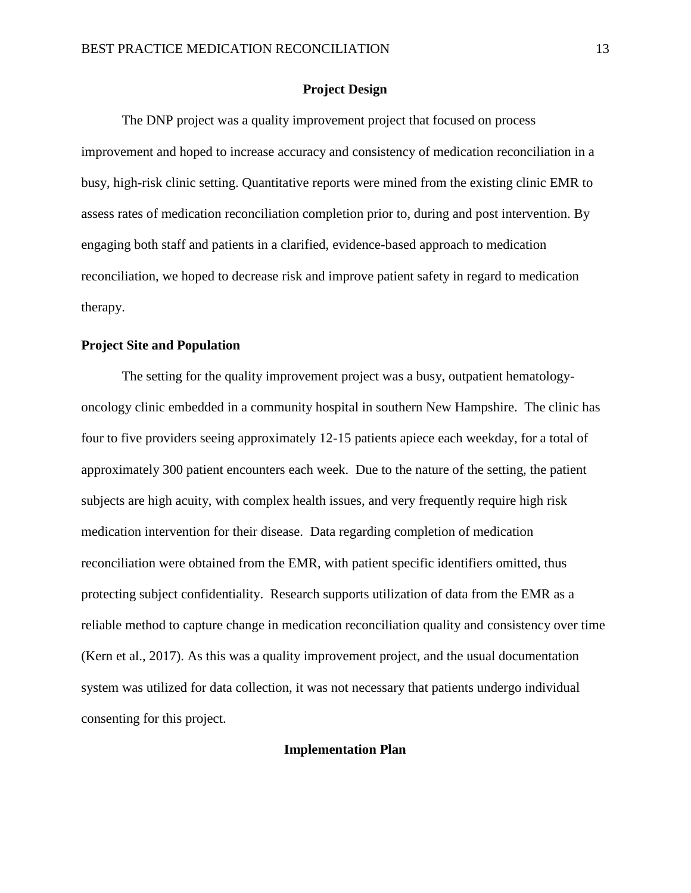## **Project Design**

The DNP project was a quality improvement project that focused on process improvement and hoped to increase accuracy and consistency of medication reconciliation in a busy, high-risk clinic setting. Quantitative reports were mined from the existing clinic EMR to assess rates of medication reconciliation completion prior to, during and post intervention. By engaging both staff and patients in a clarified, evidence-based approach to medication reconciliation, we hoped to decrease risk and improve patient safety in regard to medication therapy.

#### **Project Site and Population**

The setting for the quality improvement project was a busy, outpatient hematologyoncology clinic embedded in a community hospital in southern New Hampshire. The clinic has four to five providers seeing approximately 12-15 patients apiece each weekday, for a total of approximately 300 patient encounters each week. Due to the nature of the setting, the patient subjects are high acuity, with complex health issues, and very frequently require high risk medication intervention for their disease. Data regarding completion of medication reconciliation were obtained from the EMR, with patient specific identifiers omitted, thus protecting subject confidentiality. Research supports utilization of data from the EMR as a reliable method to capture change in medication reconciliation quality and consistency over time (Kern et al., 2017). As this was a quality improvement project, and the usual documentation system was utilized for data collection, it was not necessary that patients undergo individual consenting for this project.

## **Implementation Plan**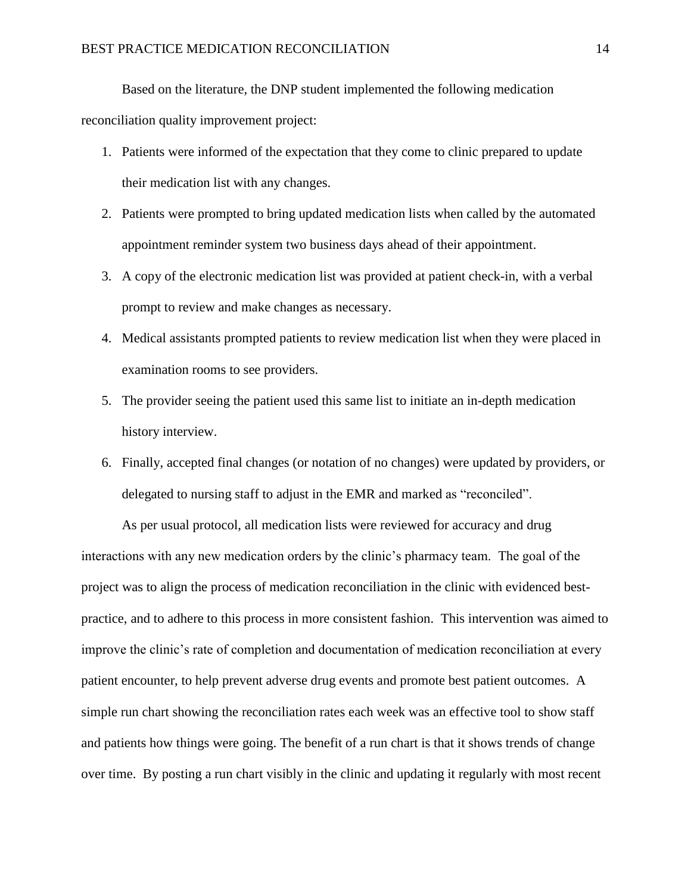Based on the literature, the DNP student implemented the following medication

reconciliation quality improvement project:

- 1. Patients were informed of the expectation that they come to clinic prepared to update their medication list with any changes.
- 2. Patients were prompted to bring updated medication lists when called by the automated appointment reminder system two business days ahead of their appointment.
- 3. A copy of the electronic medication list was provided at patient check-in, with a verbal prompt to review and make changes as necessary.
- 4. Medical assistants prompted patients to review medication list when they were placed in examination rooms to see providers.
- 5. The provider seeing the patient used this same list to initiate an in-depth medication history interview.
- 6. Finally, accepted final changes (or notation of no changes) were updated by providers, or delegated to nursing staff to adjust in the EMR and marked as "reconciled".

As per usual protocol, all medication lists were reviewed for accuracy and drug interactions with any new medication orders by the clinic's pharmacy team. The goal of the project was to align the process of medication reconciliation in the clinic with evidenced bestpractice, and to adhere to this process in more consistent fashion. This intervention was aimed to improve the clinic's rate of completion and documentation of medication reconciliation at every patient encounter, to help prevent adverse drug events and promote best patient outcomes. A simple run chart showing the reconciliation rates each week was an effective tool to show staff and patients how things were going. The benefit of a run chart is that it shows trends of change over time. By posting a run chart visibly in the clinic and updating it regularly with most recent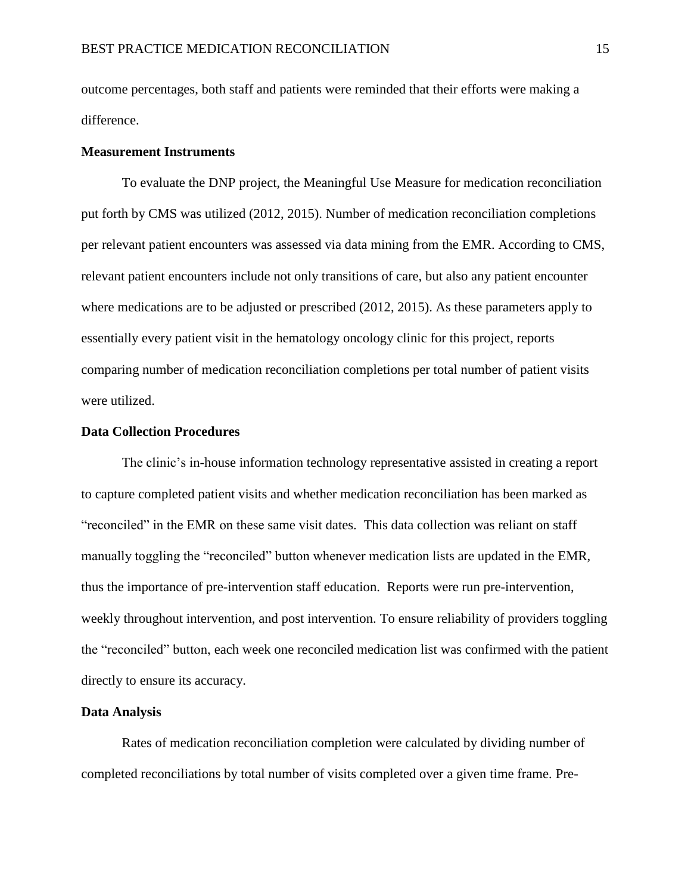outcome percentages, both staff and patients were reminded that their efforts were making a difference.

#### **Measurement Instruments**

To evaluate the DNP project, the Meaningful Use Measure for medication reconciliation put forth by CMS was utilized (2012, 2015). Number of medication reconciliation completions per relevant patient encounters was assessed via data mining from the EMR. According to CMS, relevant patient encounters include not only transitions of care, but also any patient encounter where medications are to be adjusted or prescribed (2012, 2015). As these parameters apply to essentially every patient visit in the hematology oncology clinic for this project, reports comparing number of medication reconciliation completions per total number of patient visits were utilized.

## **Data Collection Procedures**

The clinic's in-house information technology representative assisted in creating a report to capture completed patient visits and whether medication reconciliation has been marked as "reconciled" in the EMR on these same visit dates. This data collection was reliant on staff manually toggling the "reconciled" button whenever medication lists are updated in the EMR, thus the importance of pre-intervention staff education. Reports were run pre-intervention, weekly throughout intervention, and post intervention. To ensure reliability of providers toggling the "reconciled" button, each week one reconciled medication list was confirmed with the patient directly to ensure its accuracy.

#### **Data Analysis**

Rates of medication reconciliation completion were calculated by dividing number of completed reconciliations by total number of visits completed over a given time frame. Pre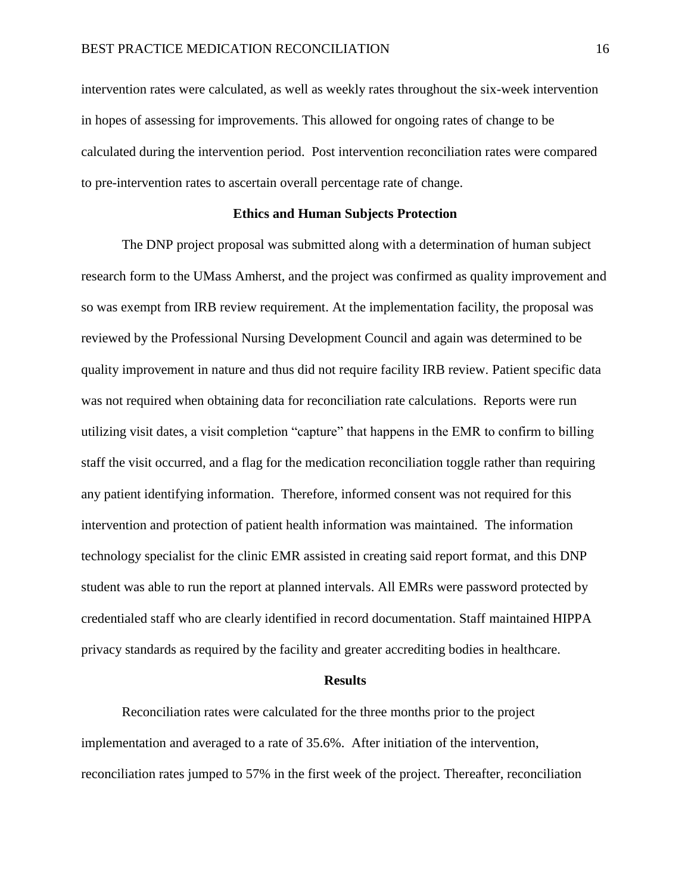intervention rates were calculated, as well as weekly rates throughout the six-week intervention in hopes of assessing for improvements. This allowed for ongoing rates of change to be calculated during the intervention period. Post intervention reconciliation rates were compared to pre-intervention rates to ascertain overall percentage rate of change.

## **Ethics and Human Subjects Protection**

The DNP project proposal was submitted along with a determination of human subject research form to the UMass Amherst, and the project was confirmed as quality improvement and so was exempt from IRB review requirement. At the implementation facility, the proposal was reviewed by the Professional Nursing Development Council and again was determined to be quality improvement in nature and thus did not require facility IRB review. Patient specific data was not required when obtaining data for reconciliation rate calculations. Reports were run utilizing visit dates, a visit completion "capture" that happens in the EMR to confirm to billing staff the visit occurred, and a flag for the medication reconciliation toggle rather than requiring any patient identifying information. Therefore, informed consent was not required for this intervention and protection of patient health information was maintained. The information technology specialist for the clinic EMR assisted in creating said report format, and this DNP student was able to run the report at planned intervals. All EMRs were password protected by credentialed staff who are clearly identified in record documentation. Staff maintained HIPPA privacy standards as required by the facility and greater accrediting bodies in healthcare.

#### **Results**

Reconciliation rates were calculated for the three months prior to the project implementation and averaged to a rate of 35.6%. After initiation of the intervention, reconciliation rates jumped to 57% in the first week of the project. Thereafter, reconciliation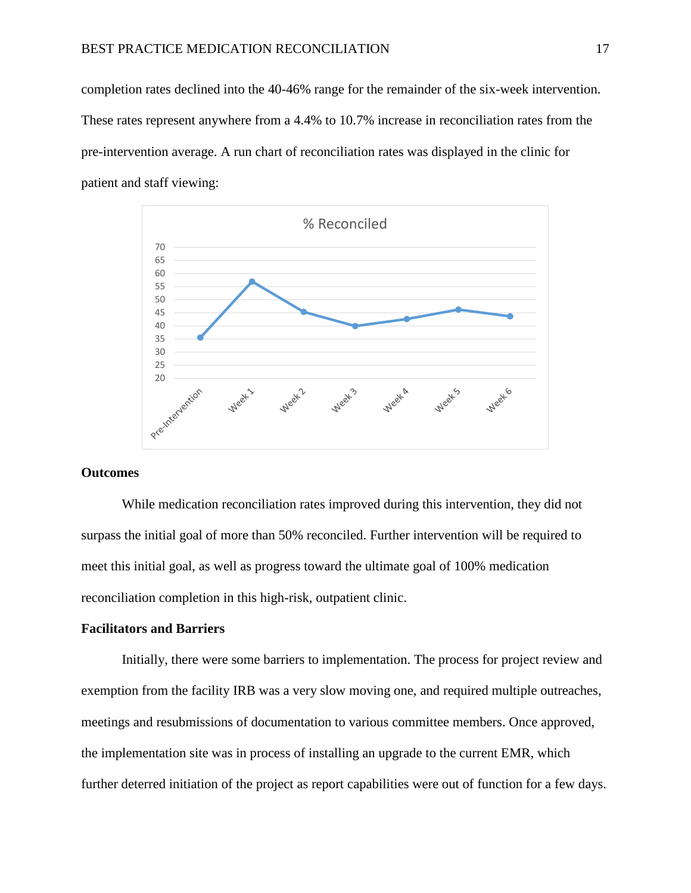completion rates declined into the 40-46% range for the remainder of the six-week intervention. These rates represent anywhere from a 4.4% to 10.7% increase in reconciliation rates from the pre-intervention average. A run chart of reconciliation rates was displayed in the clinic for patient and staff viewing:



## **Outcomes**

While medication reconciliation rates improved during this intervention, they did not surpass the initial goal of more than 50% reconciled. Further intervention will be required to meet this initial goal, as well as progress toward the ultimate goal of 100% medication reconciliation completion in this high-risk, outpatient clinic.

## **Facilitators and Barriers**

Initially, there were some barriers to implementation. The process for project review and exemption from the facility IRB was a very slow moving one, and required multiple outreaches, meetings and resubmissions of documentation to various committee members. Once approved, the implementation site was in process of installing an upgrade to the current EMR, which further deterred initiation of the project as report capabilities were out of function for a few days.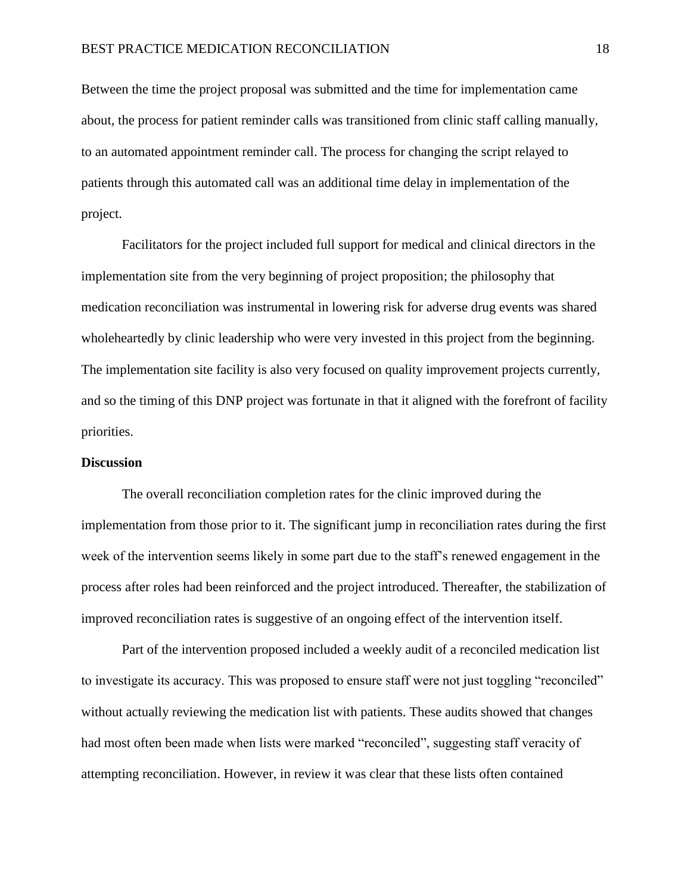Between the time the project proposal was submitted and the time for implementation came about, the process for patient reminder calls was transitioned from clinic staff calling manually, to an automated appointment reminder call. The process for changing the script relayed to patients through this automated call was an additional time delay in implementation of the project.

Facilitators for the project included full support for medical and clinical directors in the implementation site from the very beginning of project proposition; the philosophy that medication reconciliation was instrumental in lowering risk for adverse drug events was shared wholeheartedly by clinic leadership who were very invested in this project from the beginning. The implementation site facility is also very focused on quality improvement projects currently, and so the timing of this DNP project was fortunate in that it aligned with the forefront of facility priorities.

#### **Discussion**

The overall reconciliation completion rates for the clinic improved during the implementation from those prior to it. The significant jump in reconciliation rates during the first week of the intervention seems likely in some part due to the staff's renewed engagement in the process after roles had been reinforced and the project introduced. Thereafter, the stabilization of improved reconciliation rates is suggestive of an ongoing effect of the intervention itself.

Part of the intervention proposed included a weekly audit of a reconciled medication list to investigate its accuracy. This was proposed to ensure staff were not just toggling "reconciled" without actually reviewing the medication list with patients. These audits showed that changes had most often been made when lists were marked "reconciled", suggesting staff veracity of attempting reconciliation. However, in review it was clear that these lists often contained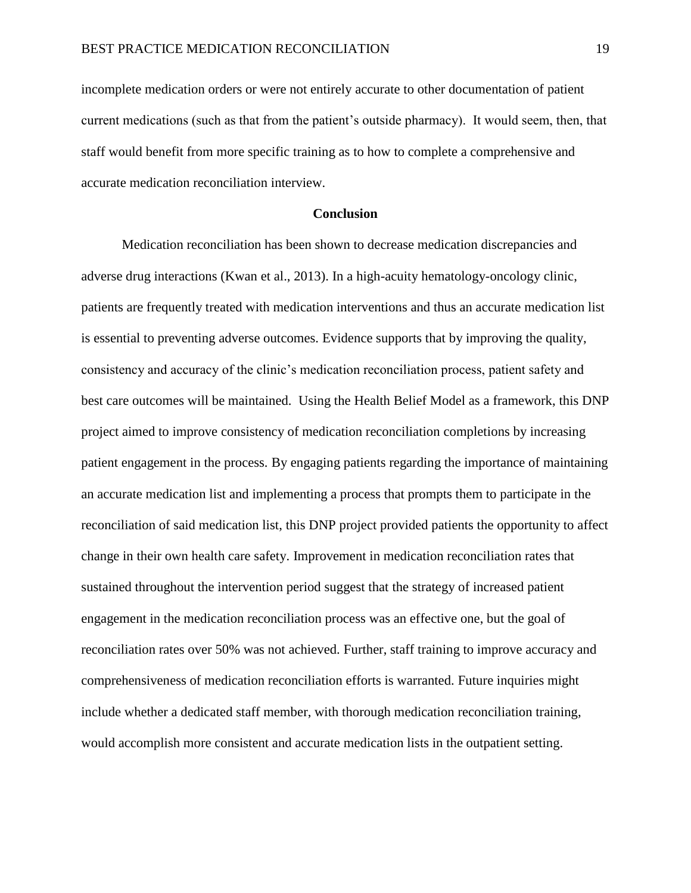incomplete medication orders or were not entirely accurate to other documentation of patient current medications (such as that from the patient's outside pharmacy). It would seem, then, that staff would benefit from more specific training as to how to complete a comprehensive and accurate medication reconciliation interview.

#### **Conclusion**

Medication reconciliation has been shown to decrease medication discrepancies and adverse drug interactions (Kwan et al., 2013). In a high-acuity hematology-oncology clinic, patients are frequently treated with medication interventions and thus an accurate medication list is essential to preventing adverse outcomes. Evidence supports that by improving the quality, consistency and accuracy of the clinic's medication reconciliation process, patient safety and best care outcomes will be maintained. Using the Health Belief Model as a framework, this DNP project aimed to improve consistency of medication reconciliation completions by increasing patient engagement in the process. By engaging patients regarding the importance of maintaining an accurate medication list and implementing a process that prompts them to participate in the reconciliation of said medication list, this DNP project provided patients the opportunity to affect change in their own health care safety. Improvement in medication reconciliation rates that sustained throughout the intervention period suggest that the strategy of increased patient engagement in the medication reconciliation process was an effective one, but the goal of reconciliation rates over 50% was not achieved. Further, staff training to improve accuracy and comprehensiveness of medication reconciliation efforts is warranted. Future inquiries might include whether a dedicated staff member, with thorough medication reconciliation training, would accomplish more consistent and accurate medication lists in the outpatient setting.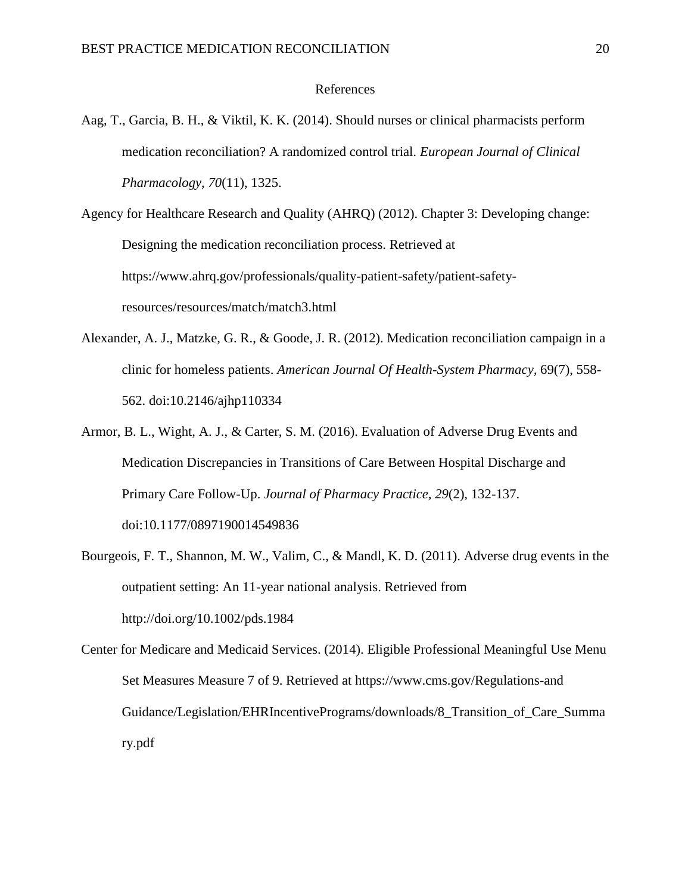#### References

- Aag, T., Garcia, B. H., & Viktil, K. K. (2014). Should nurses or clinical pharmacists perform medication reconciliation? A randomized control trial. *European Journal of Clinical Pharmacology*, *70*(11), 1325.
- Agency for Healthcare Research and Quality (AHRQ) (2012). Chapter 3: Developing change: Designing the medication reconciliation process. Retrieved at https://www.ahrq.gov/professionals/quality-patient-safety/patient-safetyresources/resources/match/match3.html
- Alexander, A. J., Matzke, G. R., & Goode, J. R. (2012). Medication reconciliation campaign in a clinic for homeless patients. *American Journal Of Health-System Pharmacy,* 69(7), 558- 562. doi:10.2146/ajhp110334
- Armor, B. L., Wight, A. J., & Carter, S. M. (2016). Evaluation of Adverse Drug Events and Medication Discrepancies in Transitions of Care Between Hospital Discharge and Primary Care Follow-Up. *Journal of Pharmacy Practice, 29*(2), 132-137. doi:10.1177/0897190014549836
- Bourgeois, F. T., Shannon, M. W., Valim, C., & Mandl, K. D. (2011). Adverse drug events in the outpatient setting: An 11-year national analysis. Retrieved from http://doi.org/10.1002/pds.1984
- Center for Medicare and Medicaid Services. (2014). Eligible Professional Meaningful Use Menu Set Measures Measure 7 of 9. Retrieved at https://www.cms.gov/Regulations-and Guidance/Legislation/EHRIncentivePrograms/downloads/8\_Transition\_of\_Care\_Summa ry.pdf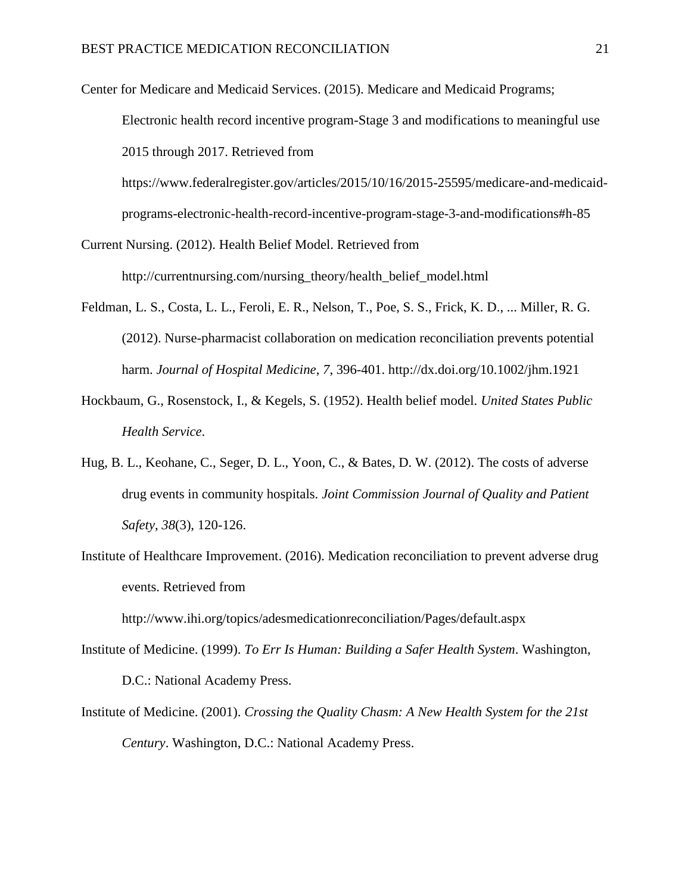Center for Medicare and Medicaid Services. (2015). Medicare and Medicaid Programs; Electronic health record incentive program-Stage 3 and modifications to meaningful use 2015 through 2017. Retrieved from

https://www.federalregister.gov/articles/2015/10/16/2015-25595/medicare-and-medicaidprograms-electronic-health-record-incentive-program-stage-3-and-modifications#h-85

- Current Nursing. (2012). Health Belief Model. Retrieved from http://currentnursing.com/nursing\_theory/health\_belief\_model.html
- Feldman, L. S., Costa, L. L., Feroli, E. R., Nelson, T., Poe, S. S., Frick, K. D., ... Miller, R. G. (2012). Nurse-pharmacist collaboration on medication reconciliation prevents potential harm. *Journal of Hospital Medicine*, *7*, 396-401. http://dx.doi.org/10.1002/jhm.1921
- Hockbaum, G., Rosenstock, I., & Kegels, S. (1952). Health belief model. *United States Public Health Service*.
- Hug, B. L., Keohane, C., Seger, D. L., Yoon, C., & Bates, D. W. (2012). The costs of adverse drug events in community hospitals. *Joint Commission Journal of Quality and Patient Safety*, *38*(3), 120-126.
- Institute of Healthcare Improvement. (2016). Medication reconciliation to prevent adverse drug events. Retrieved from

http://www.ihi.org/topics/adesmedicationreconciliation/Pages/default.aspx

- Institute of Medicine. (1999). *To Err Is Human: Building a Safer Health System*. Washington, D.C.: National Academy Press.
- Institute of Medicine. (2001). *Crossing the Quality Chasm: A New Health System for the 21st Century*. Washington, D.C.: National Academy Press.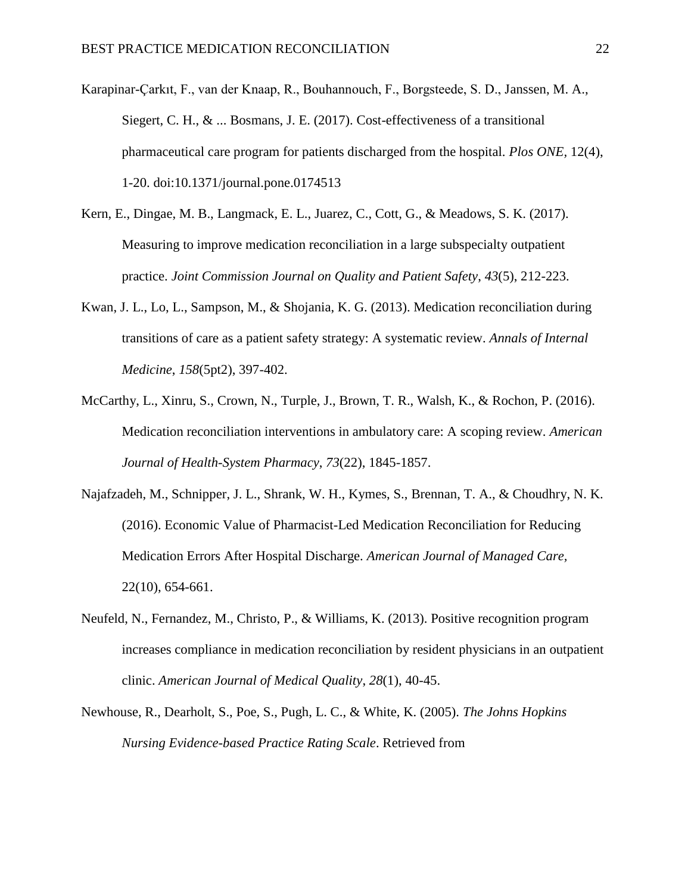Karapinar-Çarkıt, F., van der Knaap, R., Bouhannouch, F., Borgsteede, S. D., Janssen, M. A., Siegert, C. H., & ... Bosmans, J. E. (2017). Cost-effectiveness of a transitional pharmaceutical care program for patients discharged from the hospital. *Plos ONE,* 12(4), 1-20. doi:10.1371/journal.pone.0174513

- Kern, E., Dingae, M. B., Langmack, E. L., Juarez, C., Cott, G., & Meadows, S. K. (2017). Measuring to improve medication reconciliation in a large subspecialty outpatient practice. *Joint Commission Journal on Quality and Patient Safety*, *43*(5), 212-223.
- Kwan, J. L., Lo, L., Sampson, M., & Shojania, K. G. (2013). Medication reconciliation during transitions of care as a patient safety strategy: A systematic review. *Annals of Internal Medicine*, *158*(5pt2), 397-402.
- McCarthy, L., Xinru, S., Crown, N., Turple, J., Brown, T. R., Walsh, K., & Rochon, P. (2016). Medication reconciliation interventions in ambulatory care: A scoping review. *American Journal of Health-System Pharmacy*, *73*(22), 1845-1857.
- Najafzadeh, M., Schnipper, J. L., Shrank, W. H., Kymes, S., Brennan, T. A., & Choudhry, N. K. (2016). Economic Value of Pharmacist-Led Medication Reconciliation for Reducing Medication Errors After Hospital Discharge. *American Journal of Managed Care,* 22(10), 654-661.
- Neufeld, N., Fernandez, M., Christo, P., & Williams, K. (2013). Positive recognition program increases compliance in medication reconciliation by resident physicians in an outpatient clinic. *American Journal of Medical Quality*, *28*(1), 40-45.
- Newhouse, R., Dearholt, S., Poe, S., Pugh, L. C., & White, K. (2005). *The Johns Hopkins Nursing Evidence-based Practice Rating Scale*. Retrieved from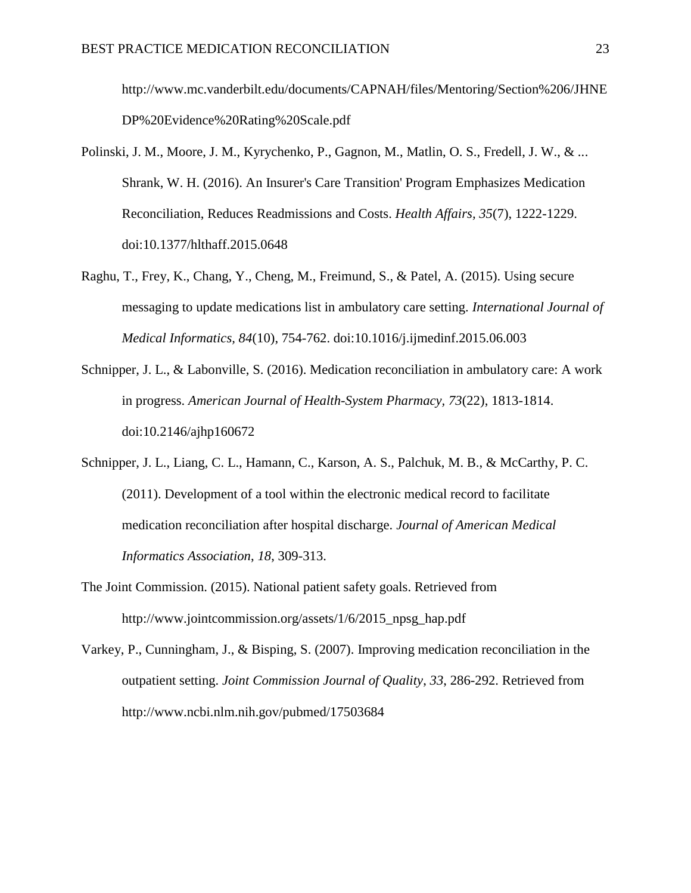http://www.mc.vanderbilt.edu/documents/CAPNAH/files/Mentoring/Section%206/JHNE DP%20Evidence%20Rating%20Scale.pdf

- Polinski, J. M., Moore, J. M., Kyrychenko, P., Gagnon, M., Matlin, O. S., Fredell, J. W., & ... Shrank, W. H. (2016). An Insurer's Care Transition' Program Emphasizes Medication Reconciliation, Reduces Readmissions and Costs. *Health Affairs, 35*(7), 1222-1229. doi:10.1377/hlthaff.2015.0648
- Raghu, T., Frey, K., Chang, Y., Cheng, M., Freimund, S., & Patel, A. (2015). Using secure messaging to update medications list in ambulatory care setting. *International Journal of Medical Informatics, 84*(10), 754-762. doi:10.1016/j.ijmedinf.2015.06.003
- Schnipper, J. L., & Labonville, S. (2016). Medication reconciliation in ambulatory care: A work in progress. *American Journal of Health-System Pharmacy, 73*(22), 1813-1814. doi:10.2146/ajhp160672
- Schnipper, J. L., Liang, C. L., Hamann, C., Karson, A. S., Palchuk, M. B., & McCarthy, P. C. (2011). Development of a tool within the electronic medical record to facilitate medication reconciliation after hospital discharge. *Journal of American Medical Informatics Association*, *18*, 309-313.
- The Joint Commission. (2015). National patient safety goals. Retrieved from http://www.jointcommission.org/assets/1/6/2015\_npsg\_hap.pdf
- Varkey, P., Cunningham, J., & Bisping, S. (2007). Improving medication reconciliation in the outpatient setting. *Joint Commission Journal of Quality*, *33*, 286-292. Retrieved from http://www.ncbi.nlm.nih.gov/pubmed/17503684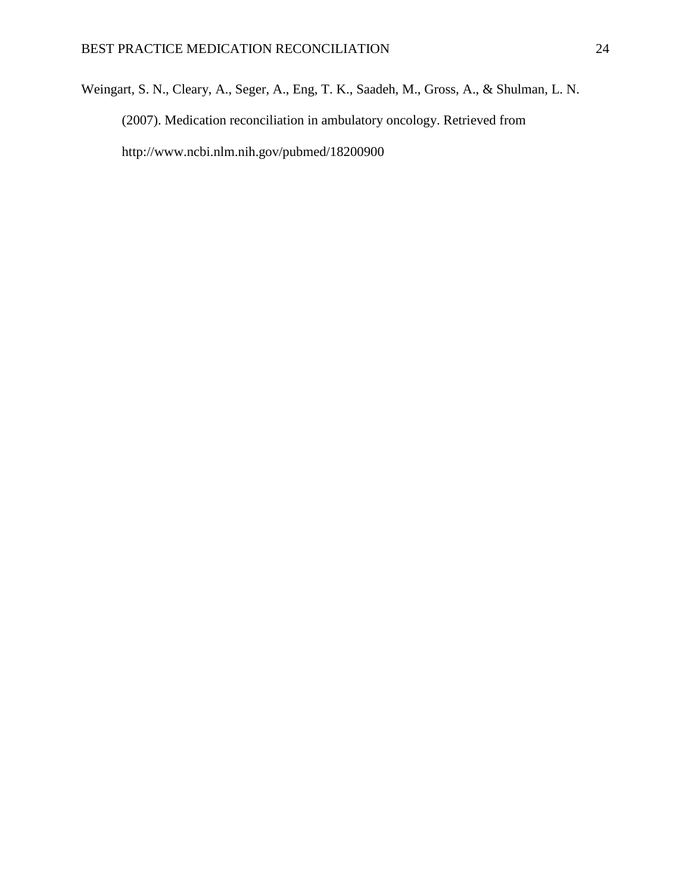Weingart, S. N., Cleary, A., Seger, A., Eng, T. K., Saadeh, M., Gross, A., & Shulman, L. N. (2007). Medication reconciliation in ambulatory oncology. Retrieved from http://www.ncbi.nlm.nih.gov/pubmed/18200900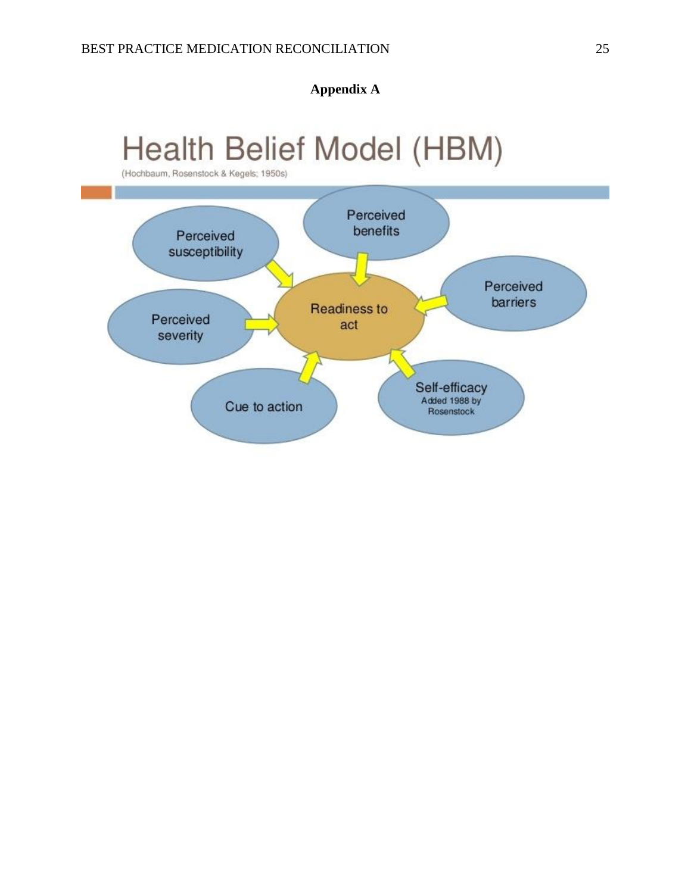**Appendix A**